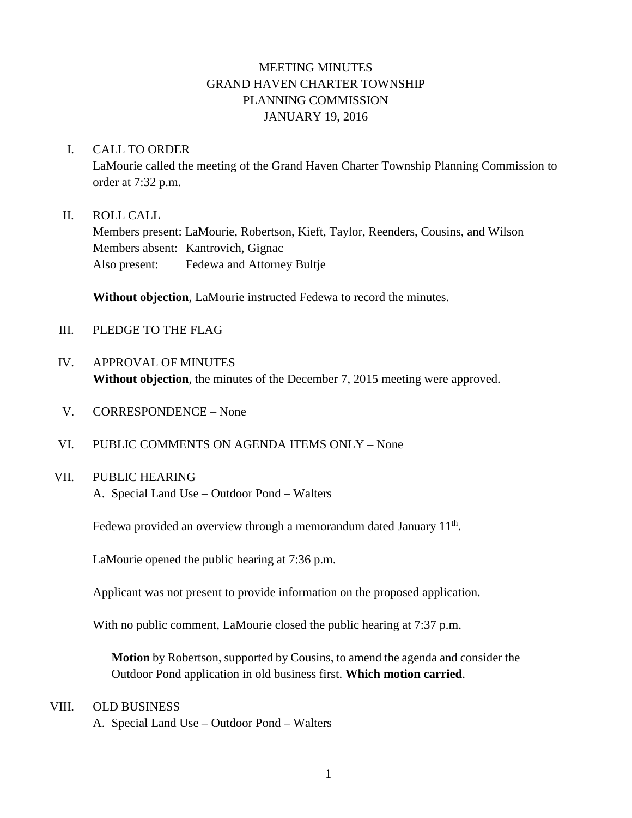# MEETING MINUTES GRAND HAVEN CHARTER TOWNSHIP PLANNING COMMISSION JANUARY 19, 2016

#### I. CALL TO ORDER

LaMourie called the meeting of the Grand Haven Charter Township Planning Commission to order at 7:32 p.m.

#### II. ROLL CALL

Members present: LaMourie, Robertson, Kieft, Taylor, Reenders, Cousins, and Wilson Members absent: Kantrovich, Gignac Also present: Fedewa and Attorney Bultje

**Without objection**, LaMourie instructed Fedewa to record the minutes.

- III. PLEDGE TO THE FLAG
- IV. APPROVAL OF MINUTES **Without objection**, the minutes of the December 7, 2015 meeting were approved.
- V. CORRESPONDENCE None
- VI. PUBLIC COMMENTS ON AGENDA ITEMS ONLY None

#### VII. PUBLIC HEARING

A. Special Land Use – Outdoor Pond – Walters

Fedewa provided an overview through a memorandum dated January  $11<sup>th</sup>$ .

LaMourie opened the public hearing at 7:36 p.m.

Applicant was not present to provide information on the proposed application.

With no public comment, LaMourie closed the public hearing at 7:37 p.m.

**Motion** by Robertson, supported by Cousins, to amend the agenda and consider the Outdoor Pond application in old business first. **Which motion carried**.

#### VIII. OLD BUSINESS

A. Special Land Use – Outdoor Pond – Walters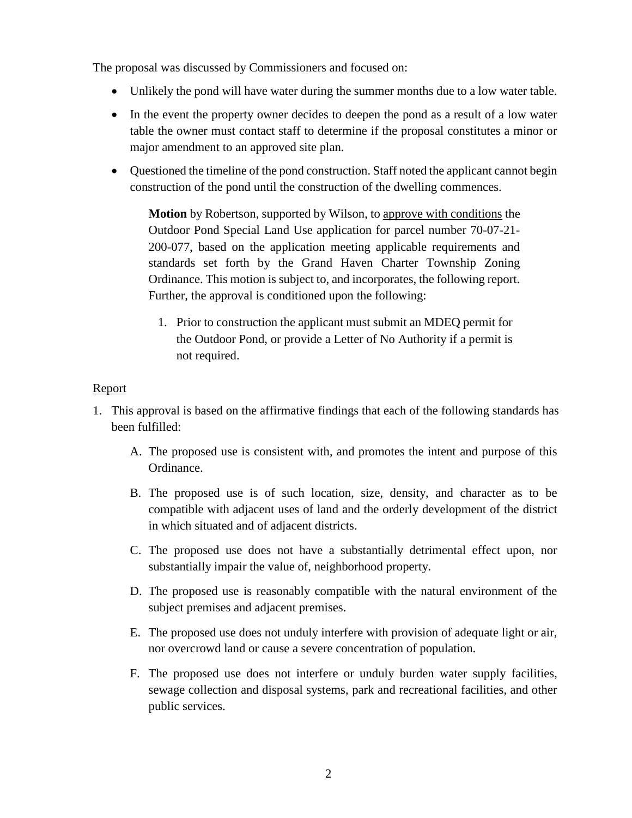The proposal was discussed by Commissioners and focused on:

- Unlikely the pond will have water during the summer months due to a low water table.
- In the event the property owner decides to deepen the pond as a result of a low water table the owner must contact staff to determine if the proposal constitutes a minor or major amendment to an approved site plan.
- Questioned the timeline of the pond construction. Staff noted the applicant cannot begin construction of the pond until the construction of the dwelling commences.

**Motion** by Robertson, supported by Wilson, to approve with conditions the Outdoor Pond Special Land Use application for parcel number 70-07-21- 200-077, based on the application meeting applicable requirements and standards set forth by the Grand Haven Charter Township Zoning Ordinance. This motion is subject to, and incorporates, the following report. Further, the approval is conditioned upon the following:

1. Prior to construction the applicant must submit an MDEQ permit for the Outdoor Pond, or provide a Letter of No Authority if a permit is not required.

#### Report

- 1. This approval is based on the affirmative findings that each of the following standards has been fulfilled:
	- A. The proposed use is consistent with, and promotes the intent and purpose of this Ordinance.
	- B. The proposed use is of such location, size, density, and character as to be compatible with adjacent uses of land and the orderly development of the district in which situated and of adjacent districts.
	- C. The proposed use does not have a substantially detrimental effect upon, nor substantially impair the value of, neighborhood property.
	- D. The proposed use is reasonably compatible with the natural environment of the subject premises and adjacent premises.
	- E. The proposed use does not unduly interfere with provision of adequate light or air, nor overcrowd land or cause a severe concentration of population.
	- F. The proposed use does not interfere or unduly burden water supply facilities, sewage collection and disposal systems, park and recreational facilities, and other public services.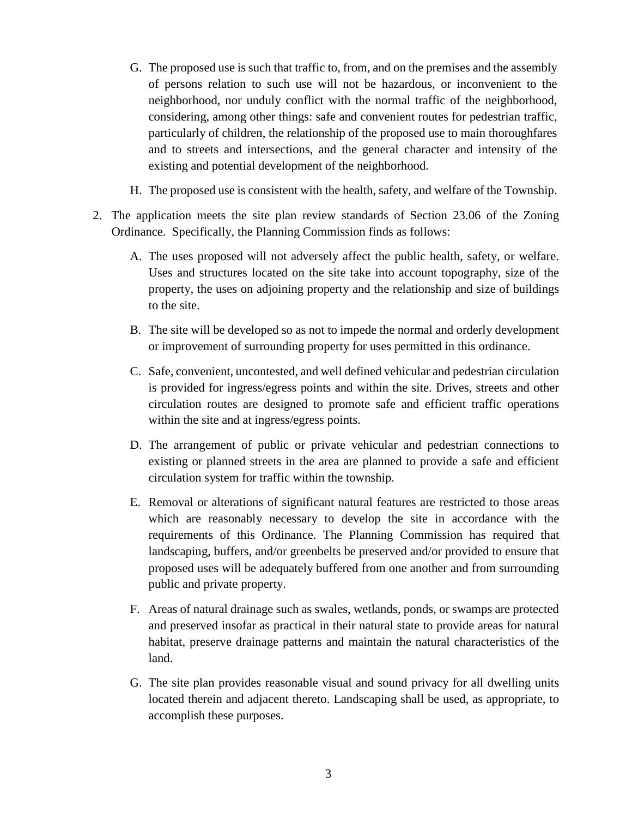- G. The proposed use is such that traffic to, from, and on the premises and the assembly of persons relation to such use will not be hazardous, or inconvenient to the neighborhood, nor unduly conflict with the normal traffic of the neighborhood, considering, among other things: safe and convenient routes for pedestrian traffic, particularly of children, the relationship of the proposed use to main thoroughfares and to streets and intersections, and the general character and intensity of the existing and potential development of the neighborhood.
- H. The proposed use is consistent with the health, safety, and welfare of the Township.
- 2. The application meets the site plan review standards of Section 23.06 of the Zoning Ordinance. Specifically, the Planning Commission finds as follows:
	- A. The uses proposed will not adversely affect the public health, safety, or welfare. Uses and structures located on the site take into account topography, size of the property, the uses on adjoining property and the relationship and size of buildings to the site.
	- B. The site will be developed so as not to impede the normal and orderly development or improvement of surrounding property for uses permitted in this ordinance.
	- C. Safe, convenient, uncontested, and well defined vehicular and pedestrian circulation is provided for ingress/egress points and within the site. Drives, streets and other circulation routes are designed to promote safe and efficient traffic operations within the site and at ingress/egress points.
	- D. The arrangement of public or private vehicular and pedestrian connections to existing or planned streets in the area are planned to provide a safe and efficient circulation system for traffic within the township.
	- E. Removal or alterations of significant natural features are restricted to those areas which are reasonably necessary to develop the site in accordance with the requirements of this Ordinance. The Planning Commission has required that landscaping, buffers, and/or greenbelts be preserved and/or provided to ensure that proposed uses will be adequately buffered from one another and from surrounding public and private property.
	- F. Areas of natural drainage such as swales, wetlands, ponds, or swamps are protected and preserved insofar as practical in their natural state to provide areas for natural habitat, preserve drainage patterns and maintain the natural characteristics of the land.
	- G. The site plan provides reasonable visual and sound privacy for all dwelling units located therein and adjacent thereto. Landscaping shall be used, as appropriate, to accomplish these purposes.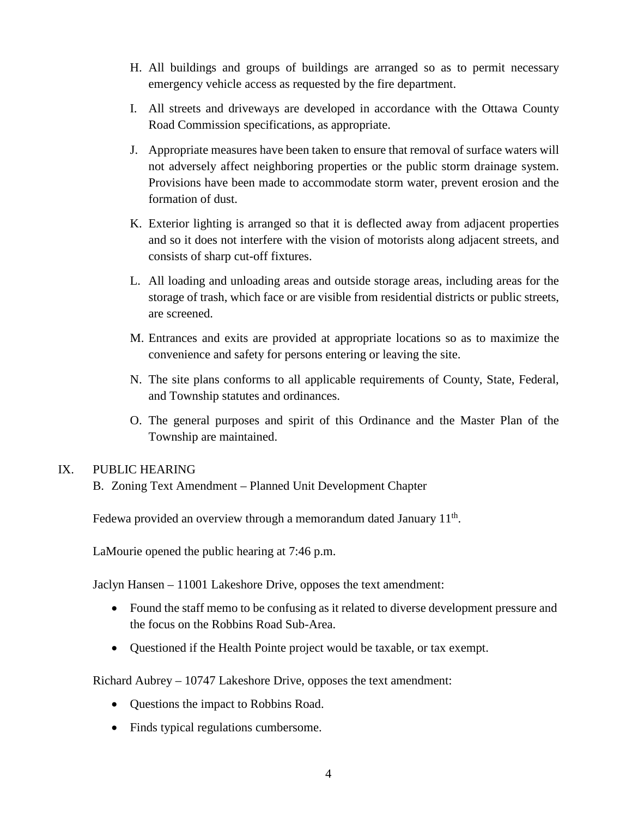- H. All buildings and groups of buildings are arranged so as to permit necessary emergency vehicle access as requested by the fire department.
- I. All streets and driveways are developed in accordance with the Ottawa County Road Commission specifications, as appropriate.
- J. Appropriate measures have been taken to ensure that removal of surface waters will not adversely affect neighboring properties or the public storm drainage system. Provisions have been made to accommodate storm water, prevent erosion and the formation of dust.
- K. Exterior lighting is arranged so that it is deflected away from adjacent properties and so it does not interfere with the vision of motorists along adjacent streets, and consists of sharp cut-off fixtures.
- L. All loading and unloading areas and outside storage areas, including areas for the storage of trash, which face or are visible from residential districts or public streets, are screened.
- M. Entrances and exits are provided at appropriate locations so as to maximize the convenience and safety for persons entering or leaving the site.
- N. The site plans conforms to all applicable requirements of County, State, Federal, and Township statutes and ordinances.
- O. The general purposes and spirit of this Ordinance and the Master Plan of the Township are maintained.

# IX. PUBLIC HEARING

B. Zoning Text Amendment – Planned Unit Development Chapter

Fedewa provided an overview through a memorandum dated January  $11<sup>th</sup>$ .

LaMourie opened the public hearing at 7:46 p.m.

Jaclyn Hansen – 11001 Lakeshore Drive, opposes the text amendment:

- Found the staff memo to be confusing as it related to diverse development pressure and the focus on the Robbins Road Sub-Area.
- Questioned if the Health Pointe project would be taxable, or tax exempt.

Richard Aubrey – 10747 Lakeshore Drive, opposes the text amendment:

- Questions the impact to Robbins Road.
- Finds typical regulations cumbersome.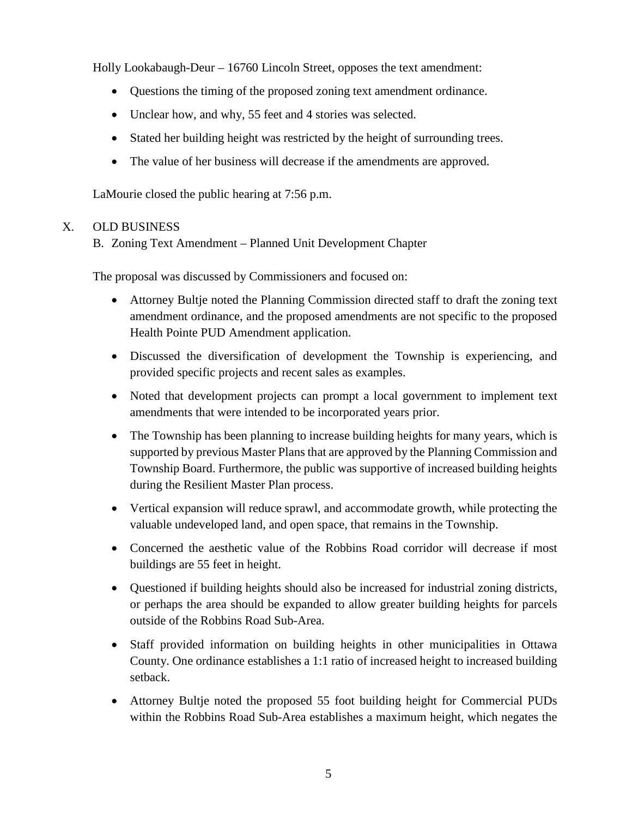Holly Lookabaugh-Deur – 16760 Lincoln Street, opposes the text amendment:

- Questions the timing of the proposed zoning text amendment ordinance.
- Unclear how, and why, 55 feet and 4 stories was selected.
- Stated her building height was restricted by the height of surrounding trees.
- The value of her business will decrease if the amendments are approved.

LaMourie closed the public hearing at 7:56 p.m.

# X. OLD BUSINESS

B. Zoning Text Amendment – Planned Unit Development Chapter

The proposal was discussed by Commissioners and focused on:

- Attorney Bultje noted the Planning Commission directed staff to draft the zoning text amendment ordinance, and the proposed amendments are not specific to the proposed Health Pointe PUD Amendment application.
- Discussed the diversification of development the Township is experiencing, and provided specific projects and recent sales as examples.
- Noted that development projects can prompt a local government to implement text amendments that were intended to be incorporated years prior.
- The Township has been planning to increase building heights for many years, which is supported by previous Master Plans that are approved by the Planning Commission and Township Board. Furthermore, the public was supportive of increased building heights during the Resilient Master Plan process.
- Vertical expansion will reduce sprawl, and accommodate growth, while protecting the valuable undeveloped land, and open space, that remains in the Township.
- Concerned the aesthetic value of the Robbins Road corridor will decrease if most buildings are 55 feet in height.
- Questioned if building heights should also be increased for industrial zoning districts, or perhaps the area should be expanded to allow greater building heights for parcels outside of the Robbins Road Sub-Area.
- Staff provided information on building heights in other municipalities in Ottawa County. One ordinance establishes a 1:1 ratio of increased height to increased building setback.
- Attorney Bultje noted the proposed 55 foot building height for Commercial PUDs within the Robbins Road Sub-Area establishes a maximum height, which negates the